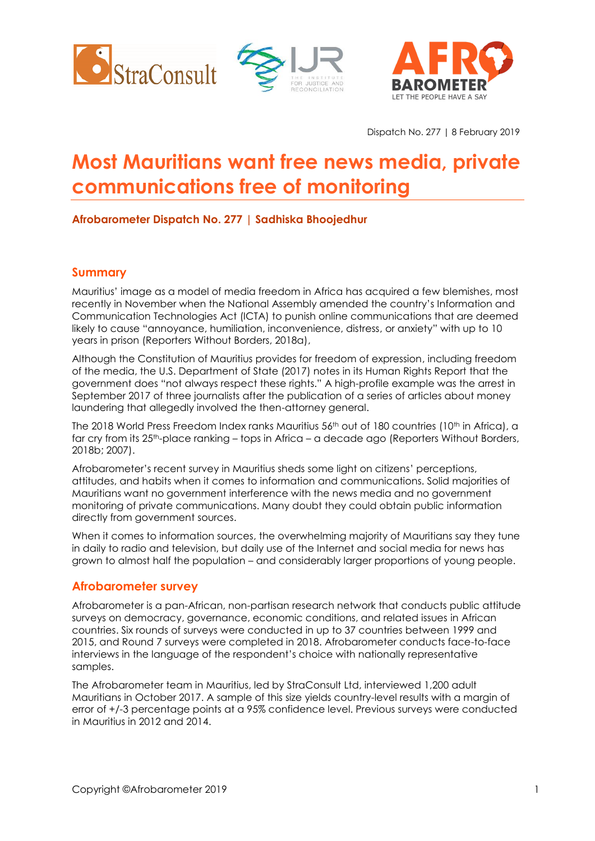





Dispatch No. 277 | 8 February 2019

# **Most Mauritians want free news media, private communications free of monitoring**

## **Afrobarometer Dispatch No. 277 | Sadhiska Bhoojedhur**

## **Summary**

Mauritius' image as a model of media freedom in Africa has acquired a few blemishes, most recently in November when the National Assembly amended the country's Information and Communication Technologies Act (ICTA) to punish online communications that are deemed likely to cause "annoyance, humiliation, inconvenience, distress, or anxiety" with up to 10 years in prison (Reporters Without Borders, 2018a),

Although the Constitution of Mauritius provides for freedom of expression, including freedom of the media, the U.S. Department of State (2017) notes in its Human Rights Report that the government does "not always respect these rights." A high-profile example was the arrest in September 2017 of three journalists after the publication of a series of articles about money laundering that allegedly involved the then-attorney general.

The 2018 World Press Freedom Index ranks Mauritius 56<sup>th</sup> out of 180 countries (10<sup>th</sup> in Africa), a far cry from its 25<sup>th</sup>-place ranking – tops in Africa – a decade ago (Reporters Without Borders, 2018b; 2007).

Afrobarometer's recent survey in Mauritius sheds some light on citizens' perceptions, attitudes, and habits when it comes to information and communications. Solid majorities of Mauritians want no government interference with the news media and no government monitoring of private communications. Many doubt they could obtain public information directly from government sources.

When it comes to information sources, the overwhelming majority of Mauritians say they tune in daily to radio and television, but daily use of the Internet and social media for news has grown to almost half the population – and considerably larger proportions of young people.

## **Afrobarometer survey**

Afrobarometer is a pan-African, non-partisan research network that conducts public attitude surveys on democracy, governance, economic conditions, and related issues in African countries. Six rounds of surveys were conducted in up to 37 countries between 1999 and 2015, and Round 7 surveys were completed in 2018. Afrobarometer conducts face-to-face interviews in the language of the respondent's choice with nationally representative samples.

The Afrobarometer team in Mauritius, led by StraConsult Ltd, interviewed 1,200 adult Mauritians in October 2017. A sample of this size yields country-level results with a margin of error of +/-3 percentage points at a 95% confidence level. Previous surveys were conducted in Mauritius in 2012 and 2014.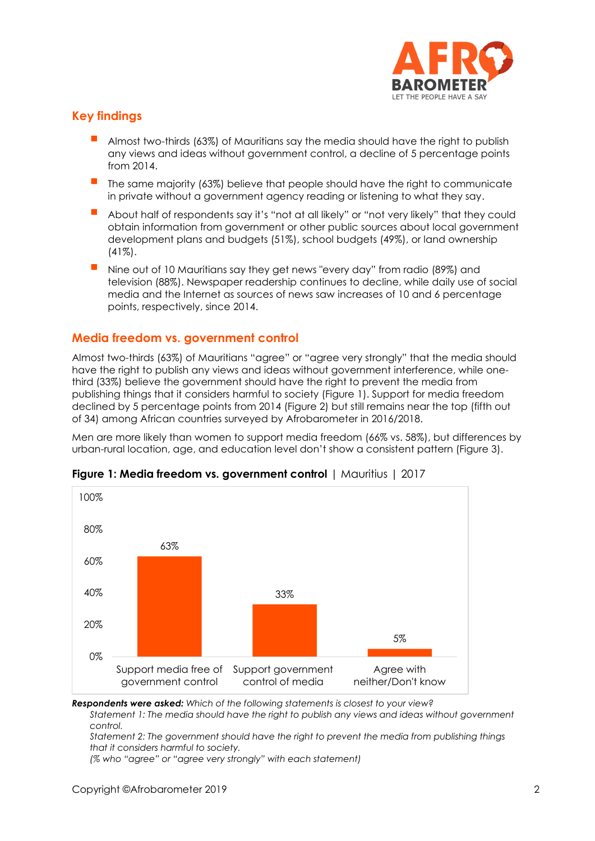

## **Key findings**

- Almost two-thirds (63%) of Mauritians say the media should have the right to publish any views and ideas without government control, a decline of 5 percentage points from 2014.
- The same majority (63%) believe that people should have the right to communicate in private without a government agency reading or listening to what they say.
- About half of respondents say it's "not at all likely" or "not very likely" that they could obtain information from government or other public sources about local government development plans and budgets (51%), school budgets (49%), or land ownership (41%).
- Nine out of 10 Mauritians say they get news "every day" from radio (89%) and television (88%). Newspaper readership continues to decline, while daily use of social media and the Internet as sources of news saw increases of 10 and 6 percentage points, respectively, since 2014.

### **Media freedom vs. government control**

Almost two-thirds (63%) of Mauritians "agree" or "agree very strongly" that the media should have the right to publish any views and ideas without government interference, while onethird (33%) believe the government should have the right to prevent the media from publishing things that it considers harmful to society (Figure 1). Support for media freedom declined by 5 percentage points from 2014 (Figure 2) but still remains near the top (fifth out of 34) among African countries surveyed by Afrobarometer in 2016/2018.

Men are more likely than women to support media freedom (66% vs. 58%), but differences by urban-rural location, age, and education level don't show a consistent pattern (Figure 3).



#### **Figure 1: Media freedom vs. government control** | Mauritius | 2017

*Respondents were asked: Which of the following statements is closest to your view?*

*Statement 1: The media should have the right to publish any views and ideas without government control.* 

*Statement 2: The government should have the right to prevent the media from publishing things that it considers harmful to society.*

*(% who "agree" or "agree very strongly" with each statement)*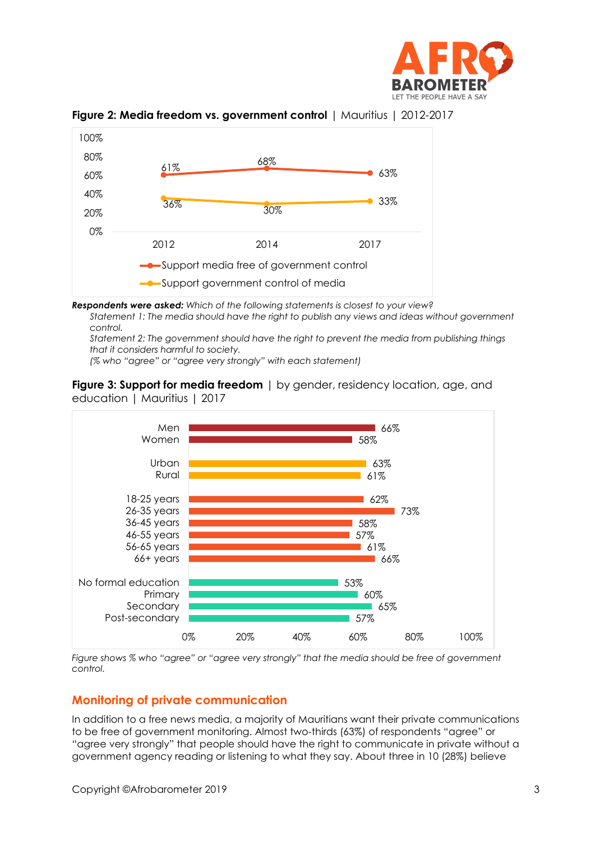





*Respondents were asked: Which of the following statements is closest to your view?*

*Statement 1: The media should have the right to publish any views and ideas without government control.* 

*Statement 2: The government should have the right to prevent the media from publishing things that it considers harmful to society.*

*(% who "agree" or "agree very strongly" with each statement)*



**Figure 3: Support for media freedom** | by gender, residency location, age, and education | Mauritius | 2017

*Figure shows % who "agree" or "agree very strongly" that the media should be free of government control.*

## **Monitoring of private communication**

In addition to a free news media, a majority of Mauritians want their private communications to be free of government monitoring. Almost two-thirds (63%) of respondents "agree" or "agree very strongly" that people should have the right to communicate in private without a government agency reading or listening to what they say. About three in 10 (28%) believe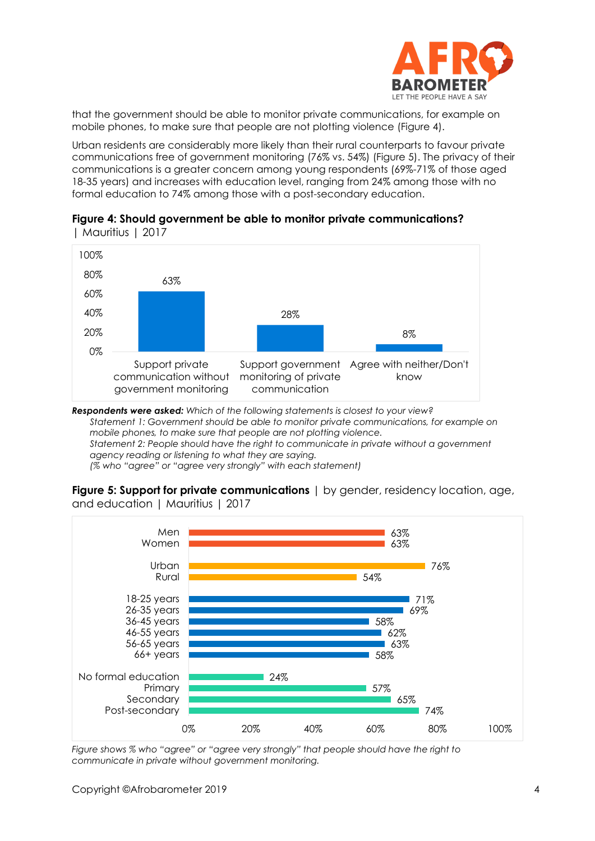

that the government should be able to monitor private communications, for example on mobile phones, to make sure that people are not plotting violence (Figure 4).

Urban residents are considerably more likely than their rural counterparts to favour private communications free of government monitoring (76% vs. 54%) (Figure 5). The privacy of their communications is a greater concern among young respondents (69%-71% of those aged 18-35 years) and increases with education level, ranging from 24% among those with no formal education to 74% among those with a post-secondary education.





*Respondents were asked: Which of the following statements is closest to your view? Statement 1: Government should be able to monitor private communications, for example on mobile phones, to make sure that people are not plotting violence. Statement 2: People should have the right to communicate in private without a government agency reading or listening to what they are saying. (% who "agree" or "agree very strongly" with each statement)*

**Figure 5: Support for private communications** | by gender, residency location, age, and education | Mauritius | 2017



*Figure shows % who "agree" or "agree very strongly" that people should have the right to communicate in private without government monitoring.*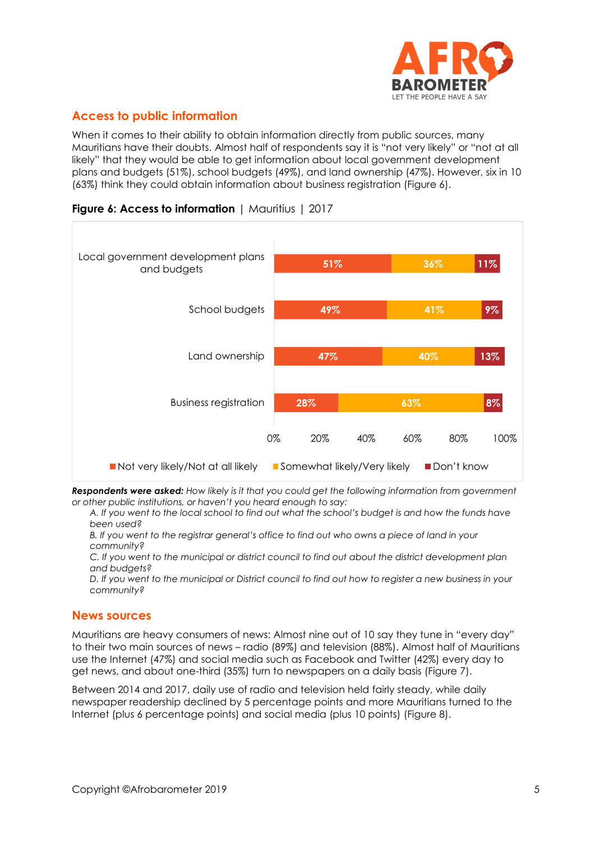

# **Access to public information**

When it comes to their ability to obtain information directly from public sources, many Mauritians have their doubts. Almost half of respondents say it is "not very likely" or "not at all likely" that they would be able to get information about local government development plans and budgets (51%), school budgets (49%), and land ownership (47%). However, six in 10 (63%) think they could obtain information about business registration (Figure 6).



## **Figure 6: Access to information** | Mauritius | 2017

*Respondents were asked: How likely is it that you could get the following information from government or other public institutions, or haven't you heard enough to say:*

*A. If you went to the local school to find out what the school's budget is and how the funds have been used?*

*B. If you went to the registrar general's office to find out who owns a piece of land in your community?*

*C. If you went to the municipal or district council to find out about the district development plan and budgets?*

*D. If you went to the municipal or District council to find out how to register a new business in your community?*

#### **News sources**

Mauritians are heavy consumers of news: Almost nine out of 10 say they tune in "every day" to their two main sources of news – radio (89%) and television (88%). Almost half of Mauritians use the Internet (47%) and social media such as Facebook and Twitter (42%) every day to get news, and about one-third (35%) turn to newspapers on a daily basis (Figure 7).

Between 2014 and 2017, daily use of radio and television held fairly steady, while daily newspaper readership declined by 5 percentage points and more Mauritians turned to the Internet (plus 6 percentage points) and social media (plus 10 points) (Figure 8).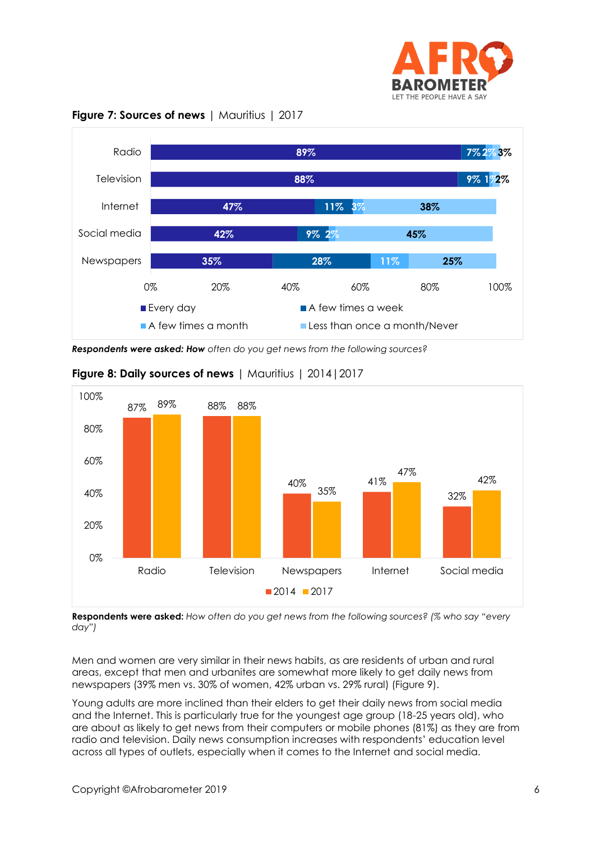



**Figure 7: Sources of news** | Mauritius | 2017

*Respondents were asked: How often do you get news from the following sources?*



## **Figure 8: Daily sources of news** | Mauritius | 2014|2017

**Respondents were asked:** *How often do you get news from the following sources? (% who say "every day")*

Men and women are very similar in their news habits, as are residents of urban and rural areas, except that men and urbanites are somewhat more likely to get daily news from newspapers (39% men vs. 30% of women, 42% urban vs. 29% rural) (Figure 9).

Young adults are more inclined than their elders to get their daily news from social media and the Internet. This is particularly true for the youngest age group (18-25 years old), who are about as likely to get news from their computers or mobile phones (81%) as they are from radio and television. Daily news consumption increases with respondents' education level across all types of outlets, especially when it comes to the Internet and social media.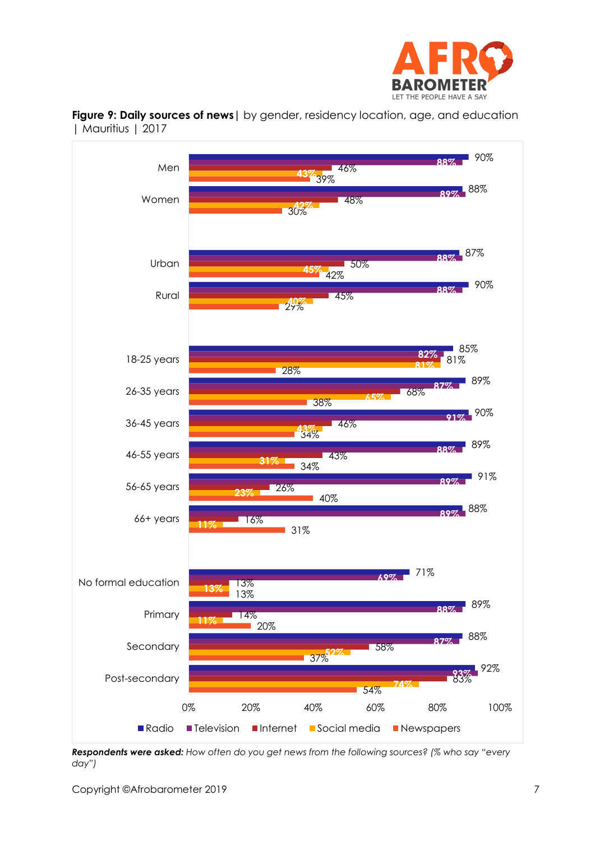



**Figure 9: Daily sources of news|** by gender, residency location, age, and education | Mauritius | 2017

*Respondents were asked: How often do you get news from the following sources? (% who say "every day")*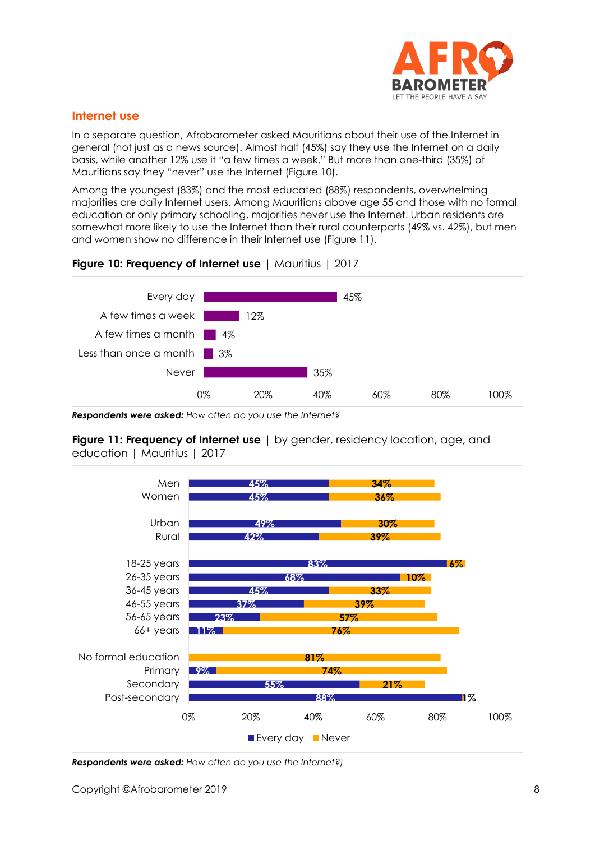

## **Internet use**

In a separate question, Afrobarometer asked Mauritians about their use of the Internet in general (not just as a news source). Almost half (45%) say they use the Internet on a daily basis, while another 12% use it "a few times a week." But more than one-third (35%) of Mauritians say they "never" use the Internet (Figure 10).

Among the youngest (83%) and the most educated (88%) respondents, overwhelming majorities are daily Internet users. Among Mauritians above age 55 and those with no formal education or only primary schooling, majorities never use the Internet. Urban residents are somewhat more likely to use the Internet than their rural counterparts (49% vs. 42%), but men and women show no difference in their Internet use (Figure 11).





*Respondents were asked: How often do you use the Internet?*

**Figure 11: Frequency of Internet use** | by gender, residency location, age, and education | Mauritius | 2017



*Respondents were asked: How often do you use the Internet?)*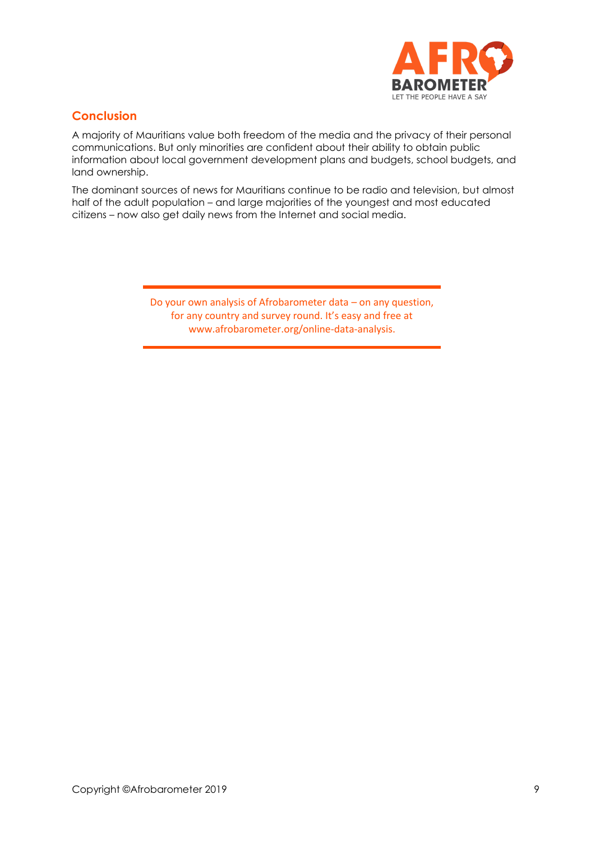

## **Conclusion**

A majority of Mauritians value both freedom of the media and the privacy of their personal communications. But only minorities are confident about their ability to obtain public information about local government development plans and budgets, school budgets, and land ownership.

The dominant sources of news for Mauritians continue to be radio and television, but almost half of the adult population – and large majorities of the youngest and most educated citizens – now also get daily news from the Internet and social media.

> Do your own analysis of Afrobarometer data – on any question, for any country and survey round. It's easy and free at www.afrobarometer.org/online-data-analysis.